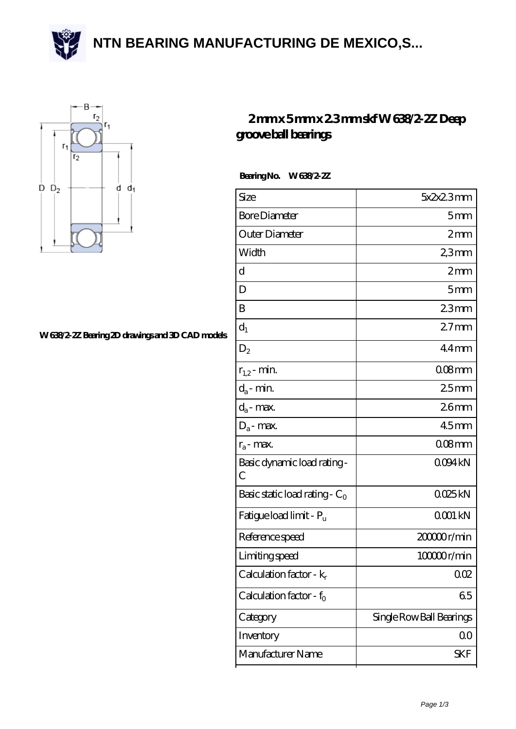**[NTN BEARING MANUFACTURING DE MEXICO,S...](https://m.accentuatehardwoodfloors.com)**





## **[W 638/2-2Z Bearing 2D drawings and 3D CAD models](https://m.accentuatehardwoodfloors.com/pic-64963068.html)**

## **[2 mm x 5 mm x 2.3 mm skf W 638/2-2Z Deep](https://m.accentuatehardwoodfloors.com/aI-64963068-skf-w-638-2-2z-deep-groove-ball-bearings.html) [groove ball bearings](https://m.accentuatehardwoodfloors.com/aI-64963068-skf-w-638-2-2z-deep-groove-ball-bearings.html)**

 **Bearing No. W 638/2-2Z**

| Size                                | 5x2x23mm                 |
|-------------------------------------|--------------------------|
| <b>Bore Diameter</b>                | 5mm                      |
| Outer Diameter                      | 2mm                      |
| Width                               | 2,3mm                    |
| d                                   | 2mm                      |
| D                                   | 5 <sub>mm</sub>          |
| B                                   | 23mm                     |
| $d_1$                               | 27 <sub>mm</sub>         |
| $D_2$                               | $44$ mm                  |
| $r_{1,2}$ - min.                    | $008$ mm                 |
| $d_a$ - min.                        | 25mm                     |
| $d_a$ - max.                        | 26 <sub>mm</sub>         |
| $D_a$ - max.                        | 45 <sub>mm</sub>         |
| $r_a$ - max.                        | $008$ mm                 |
| Basic dynamic load rating -<br>C    | 0094kN                   |
| Basic static load rating - $C_0$    | QQ25kN                   |
| Fatigue load limit - P <sub>u</sub> | QOO1 kN                  |
| Reference speed                     | 20000r/min               |
| Limiting speed                      | 100000r/min              |
| Calculation factor - $k_r$          | 002                      |
| Calculation factor - $f_0$          | 65                       |
| Category                            | Single Row Ball Bearings |
| Inventory                           | $00 \,$                  |
| Manufacturer Name                   | SKF                      |
|                                     |                          |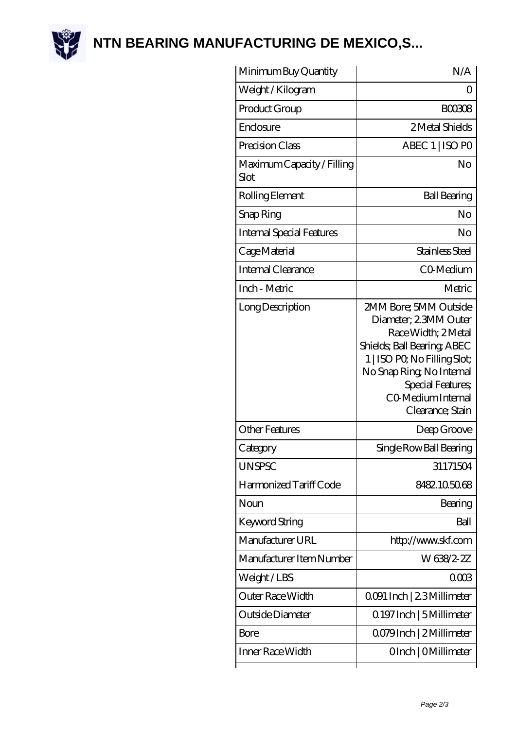

**[NTN BEARING MANUFACTURING DE MEXICO,S...](https://m.accentuatehardwoodfloors.com)**

| Minimum Buy Quantity               | N/A                                                                                                                                                                                                                            |
|------------------------------------|--------------------------------------------------------------------------------------------------------------------------------------------------------------------------------------------------------------------------------|
| Weight / Kilogram                  | Ω                                                                                                                                                                                                                              |
| Product Group                      | <b>BOO308</b>                                                                                                                                                                                                                  |
| Enclosure                          | 2 Metal Shields                                                                                                                                                                                                                |
| Precision Class                    | ABEC 1   ISO PO                                                                                                                                                                                                                |
| Maximum Capacity / Filling<br>Slot | No                                                                                                                                                                                                                             |
| Rolling Element                    | <b>Ball Bearing</b>                                                                                                                                                                                                            |
| Snap Ring                          | No                                                                                                                                                                                                                             |
| Internal Special Features          | No                                                                                                                                                                                                                             |
| Cage Material                      | Stainless Steel                                                                                                                                                                                                                |
| <b>Internal Clearance</b>          | CO-Medium                                                                                                                                                                                                                      |
| Inch - Metric                      | Metric                                                                                                                                                                                                                         |
| Long Description                   | 2MM Bore; 5MM Outside<br>Diameter, 23MM Outer<br>Race Width; 2Metal<br>Shields; Ball Bearing; ABEC<br>1   ISO PO, No Filling Slot;<br>No Snap Ring, No Internal<br>Special Features,<br>CO Medium Internal<br>Clearance; Stain |
| Other Features                     | Deep Groove                                                                                                                                                                                                                    |
| Category                           | Single Row Ball Bearing                                                                                                                                                                                                        |
| <b>UNSPSC</b>                      | 31171504                                                                                                                                                                                                                       |
| Harmonized Tariff Code             | 8482105068                                                                                                                                                                                                                     |
| Noun                               | Bearing                                                                                                                                                                                                                        |
| <b>Keyword String</b>              | Ball                                                                                                                                                                                                                           |
| Manufacturer URL                   | http://www.skf.com                                                                                                                                                                                                             |
| Manufacturer Item Number           | W638/2-2Z                                                                                                                                                                                                                      |
| Weight/LBS                         | 0003                                                                                                                                                                                                                           |
| Outer Race Width                   | 0091 Inch   23 Millimeter                                                                                                                                                                                                      |
| Outside Diameter                   | 0.197 Inch   5 Millimeter                                                                                                                                                                                                      |
| Bore                               | Q079Inch   2 Millimeter                                                                                                                                                                                                        |
| Inner Race Width                   | OInch   OMillimeter                                                                                                                                                                                                            |
|                                    |                                                                                                                                                                                                                                |